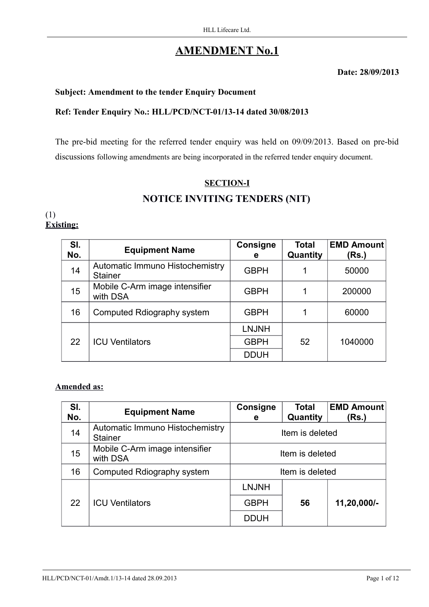# **AMENDMENT No.1**

**Date: 28/09/2013**

## **Subject: Amendment to the tender Enquiry Document**

## **Ref: Tender Enquiry No.: HLL/PCD/NCT-01/13-14 dated 30/08/2013**

The pre-bid meeting for the referred tender enquiry was held on 09/09/2013. Based on pre-bid discussions following amendments are being incorporated in the referred tender enquiry document.

# **SECTION-I NOTICE INVITING TENDERS (NIT)**

#### (1) **Existing:**

| SI.<br>No. | <b>Equipment Name</b>                             | Consigne<br>e | <b>Total</b><br>Quantity | <b>EMD Amount</b><br>(Rs.) |
|------------|---------------------------------------------------|---------------|--------------------------|----------------------------|
| 14         | Automatic Immuno Histochemistry<br><b>Stainer</b> | <b>GBPH</b>   | 1                        | 50000                      |
| 15         | Mobile C-Arm image intensifier<br>with DSA        | <b>GBPH</b>   |                          | 200000                     |
| 16         | Computed Rdiography system                        | <b>GBPH</b>   |                          | 60000                      |
|            |                                                   | <b>LNJNH</b>  |                          |                            |
| 22         | <b>ICU Ventilators</b>                            | <b>GBPH</b>   | 52                       | 1040000                    |
|            |                                                   | <b>DDUH</b>   |                          |                            |

## **Amended as:**

| SI.<br>No. | <b>Equipment Name</b>                             | Consigne<br>е   | <b>Total</b><br>Quantity | <b>EMD Amount</b><br>(Rs.) |
|------------|---------------------------------------------------|-----------------|--------------------------|----------------------------|
| 14         | Automatic Immuno Histochemistry<br><b>Stainer</b> | Item is deleted |                          |                            |
| 15         | Mobile C-Arm image intensifier<br>with DSA        | Item is deleted |                          |                            |
| 16         | Computed Rdiography system                        | Item is deleted |                          |                            |
|            |                                                   | <b>LNJNH</b>    |                          |                            |
| 22         | <b>ICU Ventilators</b>                            | <b>GBPH</b>     | 56                       | 11,20,000/-                |
|            |                                                   | <b>DDUH</b>     |                          |                            |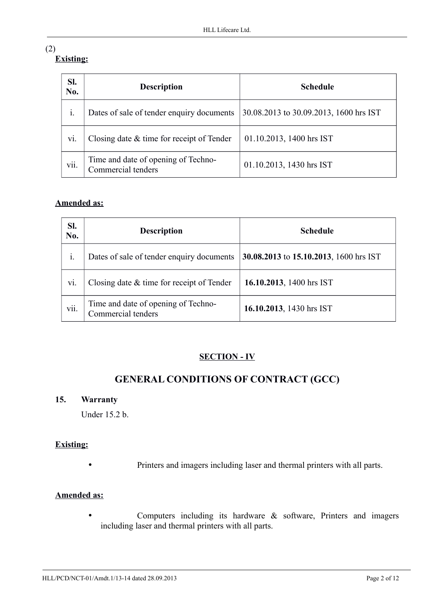## (2) **Existing:**

| SI.<br>No. | <b>Description</b>                                        | <b>Schedule</b>                        |
|------------|-----------------------------------------------------------|----------------------------------------|
| i.         | Dates of sale of tender enquiry documents                 | 30.08.2013 to 30.09.2013, 1600 hrs IST |
| vi.        | Closing date $\&$ time for receipt of Tender              | 01.10.2013, 1400 hrs IST               |
| vii.       | Time and date of opening of Techno-<br>Commercial tenders | 01.10.2013, 1430 hrs IST               |

## **Amended as:**

| SI.<br>No.  | <b>Description</b>                                        | <b>Schedule</b>                        |
|-------------|-----------------------------------------------------------|----------------------------------------|
| $\dot{1}$ . | Dates of sale of tender enquiry documents                 | 30.08.2013 to 15.10.2013, 1600 hrs IST |
| vi.         | Closing date $\&$ time for receipt of Tender              | 16.10.2013, 1400 hrs IST               |
| vii.        | Time and date of opening of Techno-<br>Commercial tenders | 16.10.2013, 1430 hrs IST               |

# **SECTION - IV**

# **GENERAL CONDITIONS OF CONTRACT (GCC)**

## **15. Warranty**

Under 15.2 b.

## **Existing:**

• Printers and imagers including laser and thermal printers with all parts.

## **Amended as:**

• Computers including its hardware & software, Printers and imagers including laser and thermal printers with all parts.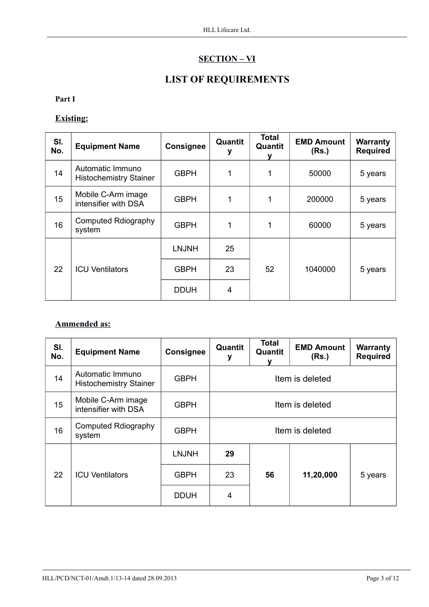# **SECTION – VI**

# **LIST OF REQUIREMENTS**

### **Part I**

## **Existing:**

| SI.<br>No. | <b>Equipment Name</b>                             | Consignee    | Quantit | <b>Total</b><br>Quantit | <b>EMD Amount</b><br>(Rs.) | Warranty<br><b>Required</b> |
|------------|---------------------------------------------------|--------------|---------|-------------------------|----------------------------|-----------------------------|
| 14         | Automatic Immuno<br><b>Histochemistry Stainer</b> | <b>GBPH</b>  | 1       | 1                       | 50000                      | 5 years                     |
| 15         | Mobile C-Arm image<br>intensifier with DSA        | <b>GBPH</b>  | 1       | 1                       | 200000                     | 5 years                     |
| 16         | Computed Rdiography<br>system                     | <b>GBPH</b>  | 1       | 1                       | 60000                      | 5 years                     |
|            |                                                   | <b>LNJNH</b> | 25      |                         |                            |                             |
| 22         | <b>ICU Ventilators</b>                            | <b>GBPH</b>  | 23      | 52                      | 1040000                    | 5 years                     |
|            |                                                   | <b>DDUH</b>  | 4       |                         |                            |                             |

## **Ammended as:**

| SI.<br>No. | <b>Equipment Name</b>                             | <b>Consignee</b> | Quantit<br>у    | Total<br>Quantit | <b>EMD Amount</b><br>(Rs.) | <b>Warranty</b><br><b>Required</b> |
|------------|---------------------------------------------------|------------------|-----------------|------------------|----------------------------|------------------------------------|
| 14         | Automatic Immuno<br><b>Histochemistry Stainer</b> | <b>GBPH</b>      | Item is deleted |                  |                            |                                    |
| 15         | Mobile C-Arm image<br>intensifier with DSA        | <b>GBPH</b>      | Item is deleted |                  |                            |                                    |
| 16         | Computed Rdiography<br>system                     | <b>GBPH</b>      | Item is deleted |                  |                            |                                    |
|            |                                                   | <b>LNJNH</b>     | 29              |                  |                            |                                    |
| 22         | <b>ICU Ventilators</b>                            | <b>GBPH</b>      | 23              | 56               | 11,20,000                  | 5 years                            |
|            |                                                   | <b>DDUH</b>      | 4               |                  |                            |                                    |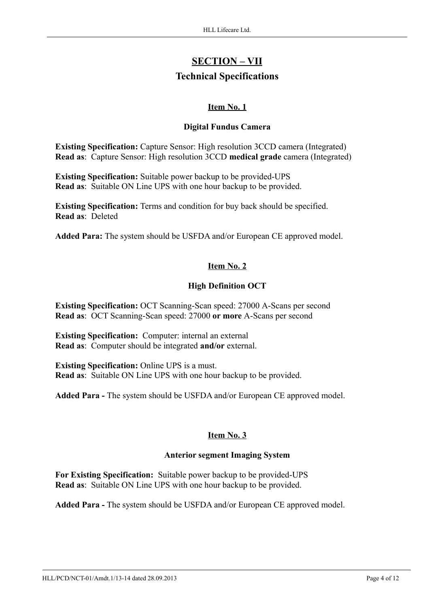# **SECTION – VII Technical Specifications**

## **Item No. 1**

### **Digital Fundus Camera**

**Existing Specification:** Capture Sensor: High resolution 3CCD camera (Integrated) **Read as**: Capture Sensor: High resolution 3CCD **medical grade** camera (Integrated)

**Existing Specification:** Suitable power backup to be provided-UPS **Read as**: Suitable ON Line UPS with one hour backup to be provided.

**Existing Specification:** Terms and condition for buy back should be specified. **Read as**: Deleted

**Added Para:** The system should be USFDA and/or European CE approved model.

## **Item No. 2**

## **High Definition OCT**

**Existing Specification:** OCT Scanning-Scan speed: 27000 A-Scans per second **Read as**: OCT Scanning-Scan speed: 27000 **or more** A-Scans per second

**Existing Specification:** Computer: internal an external **Read as**: Computer should be integrated **and/or** external.

**Existing Specification:** Online UPS is a must. **Read as**: Suitable ON Line UPS with one hour backup to be provided.

**Added Para -** The system should be USFDA and/or European CE approved model.

## **Item No. 3**

## **Anterior segment Imaging System**

**For Existing Specification:** Suitable power backup to be provided-UPS **Read as**: Suitable ON Line UPS with one hour backup to be provided.

**Added Para -** The system should be USFDA and/or European CE approved model.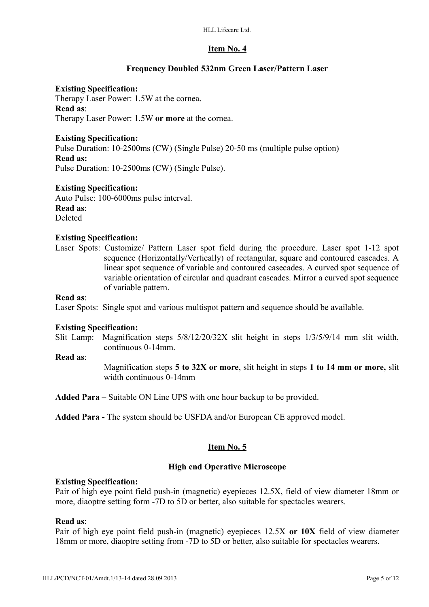### **Frequency Doubled 532nm Green Laser/Pattern Laser**

#### **Existing Specification:**

Therapy Laser Power: 1.5W at the cornea. **Read as**: Therapy Laser Power: 1.5W **or more** at the cornea.

#### **Existing Specification:**

Pulse Duration: 10-2500ms (CW) (Single Pulse) 20-50 ms (multiple pulse option) **Read as:** Pulse Duration: 10-2500ms (CW) (Single Pulse).

**Existing Specification:**

Auto Pulse: 100-6000ms pulse interval. **Read as**: Deleted

#### **Existing Specification:**

Laser Spots: Customize/ Pattern Laser spot field during the procedure. Laser spot 1-12 spot sequence (Horizontally/Vertically) of rectangular, square and contoured cascades. A linear spot sequence of variable and contoured casecades. A curved spot sequence of variable orientation of circular and quadrant cascades. Mirror a curved spot sequence of variable pattern.

#### **Read as**:

Laser Spots: Single spot and various multispot pattern and sequence should be available.

#### **Existing Specification:**

Slit Lamp: Magnification steps 5/8/12/20/32X slit height in steps 1/3/5/9/14 mm slit width, continuous 0-14mm.

#### **Read as**:

Magnification steps **5 to 32X or more**, slit height in steps **1 to 14 mm or more,** slit width continuous 0-14mm

**Added Para –** Suitable ON Line UPS with one hour backup to be provided.

**Added Para -** The system should be USFDA and/or European CE approved model.

## **Item No. 5**

## **High end Operative Microscope**

#### **Existing Specification:**

Pair of high eye point field push-in (magnetic) eyepieces 12.5X, field of view diameter 18mm or more, diaoptre setting form -7D to 5D or better, also suitable for spectacles wearers.

#### **Read as**:

Pair of high eye point field push-in (magnetic) eyepieces 12.5X **or 10X** field of view diameter 18mm or more, diaoptre setting from -7D to 5D or better, also suitable for spectacles wearers.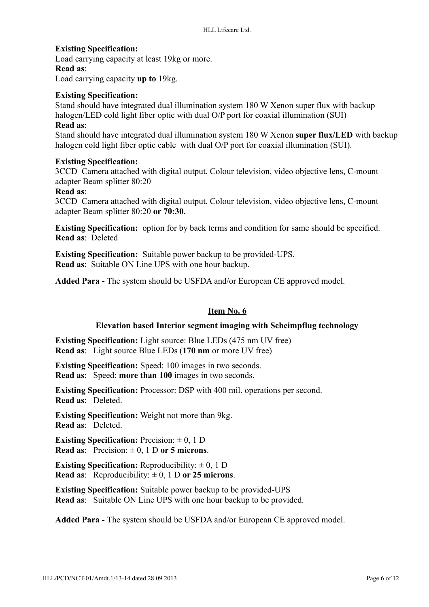## **Existing Specification:**

Load carrying capacity at least 19kg or more. **Read as**:

Load carrying capacity **up to** 19kg.

## **Existing Specification:**

Stand should have integrated dual illumination system 180 W Xenon super flux with backup halogen/LED cold light fiber optic with dual O/P port for coaxial illumination (SUI)

#### **Read as**:

Stand should have integrated dual illumination system 180 W Xenon **super flux/LED** with backup halogen cold light fiber optic cable with dual O/P port for coaxial illumination (SUI).

## **Existing Specification:**

3CCD Camera attached with digital output. Colour television, video objective lens, C-mount adapter Beam splitter 80:20

#### **Read as**:

3CCD Camera attached with digital output. Colour television, video objective lens, C-mount adapter Beam splitter 80:20 **or 70:30.**

**Existing Specification:** option for by back terms and condition for same should be specified. **Read as**: Deleted

**Existing Specification:** Suitable power backup to be provided-UPS. **Read as**: Suitable ON Line UPS with one hour backup.

**Added Para -** The system should be USFDA and/or European CE approved model.

## **Item No. 6**

## **Elevation based Interior segment imaging with Scheimpflug technology**

**Existing Specification:** Light source: Blue LEDs (475 nm UV free) **Read as**: Light source Blue LEDs (**170 nm** or more UV free)

**Existing Specification:** Speed: 100 images in two seconds. **Read as**: Speed: **more than 100** images in two seconds.

**Existing Specification:** Processor: DSP with 400 mil. operations per second. **Read as**: Deleted.

**Existing Specification:** Weight not more than 9kg. **Read as**: Deleted.

**Existing Specification:** Precision:  $\pm 0$ , 1 D **Read as:** Precision:  $\pm 0$ , 1 D **or 5 microns**.

**Existing Specification:** Reproducibility:  $\pm 0$ , 1 D **Read as:** Reproducibility:  $\pm 0$ , 1 D **or 25 microns**.

**Existing Specification:** Suitable power backup to be provided-UPS **Read as**: Suitable ON Line UPS with one hour backup to be provided.

**Added Para -** The system should be USFDA and/or European CE approved model.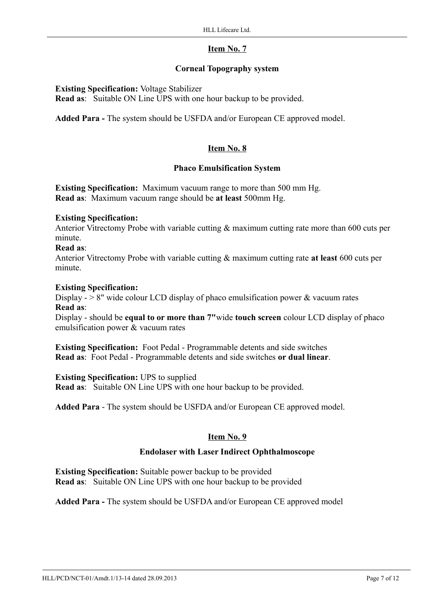## **Corneal Topography system**

## **Existing Specification:** Voltage Stabilizer

**Read as**: Suitable ON Line UPS with one hour backup to be provided.

**Added Para -** The system should be USFDA and/or European CE approved model.

## **Item No. 8**

#### **Phaco Emulsification System**

**Existing Specification:** Maximum vacuum range to more than 500 mm Hg. **Read as**: Maximum vacuum range should be **at least** 500mm Hg.

#### **Existing Specification:**

Anterior Vitrectomy Probe with variable cutting & maximum cutting rate more than 600 cuts per minute.

#### **Read as**:

Anterior Vitrectomy Probe with variable cutting & maximum cutting rate **at least** 600 cuts per minute.

#### **Existing Specification:**

Display  $-$  > 8" wide colour LCD display of phaco emulsification power & vacuum rates **Read as**:

Display - should be **equal to or more than 7"**wide **touch screen** colour LCD display of phaco emulsification power & vacuum rates

**Existing Specification:** Foot Pedal - Programmable detents and side switches **Read as**: Foot Pedal - Programmable detents and side switches **or dual linear**.

**Existing Specification:** UPS to supplied

**Read as**: Suitable ON Line UPS with one hour backup to be provided.

**Added Para** - The system should be USFDA and/or European CE approved model.

#### **Item No. 9**

#### **Endolaser with Laser Indirect Ophthalmoscope**

**Existing Specification:** Suitable power backup to be provided **Read as**: Suitable ON Line UPS with one hour backup to be provided

**Added Para -** The system should be USFDA and/or European CE approved model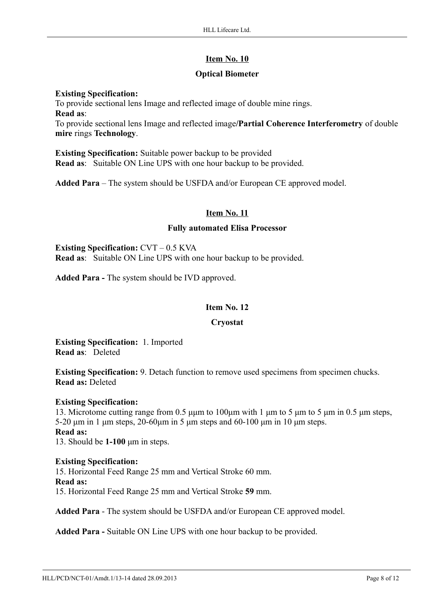## **Optical Biometer**

## **Existing Specification:**

To provide sectional lens Image and reflected image of double mine rings. **Read as**: To provide sectional lens Image and reflected image**/Partial Coherence Interferometry** of double **mire** rings **Technology**.

**Existing Specification:** Suitable power backup to be provided **Read as**: Suitable ON Line UPS with one hour backup to be provided.

**Added Para** – The system should be USFDA and/or European CE approved model.

## **Item No. 11**

#### **Fully automated Elisa Processor**

**Existing Specification:** CVT – 0.5 KVA **Read as**: Suitable ON Line UPS with one hour backup to be provided.

**Added Para -** The system should be IVD approved.

## **Item No. 12**

#### **Cryostat**

**Existing Specification:** 1. Imported **Read as**: Deleted

**Existing Specification:** 9. Detach function to remove used specimens from specimen chucks. **Read as:** Deleted

## **Existing Specification:**

13. Microtome cutting range from 0.5 μμm to 100μm with 1 μm to 5 μm to 5 μm in 0.5 μm steps, 5-20 μm in 1 μm steps, 20-60μm in 5 μm steps and 60-100 μm in 10 μm steps. **Read as:** 13. Should be **1-100** μm in steps.

## **Existing Specification:**

15. Horizontal Feed Range 25 mm and Vertical Stroke 60 mm. **Read as:**  15. Horizontal Feed Range 25 mm and Vertical Stroke **59** mm.

**Added Para** - The system should be USFDA and/or European CE approved model.

**Added Para -** Suitable ON Line UPS with one hour backup to be provided.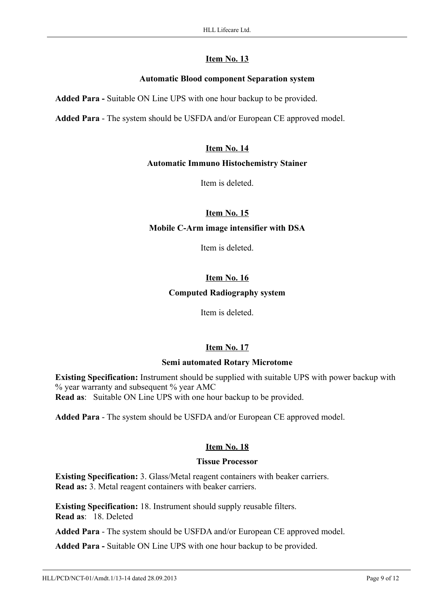## **Automatic Blood component Separation system**

**Added Para -** Suitable ON Line UPS with one hour backup to be provided.

**Added Para** - The system should be USFDA and/or European CE approved model.

## **Item No. 14**

#### **Automatic Immuno Histochemistry Stainer**

Item is deleted.

## **Item No. 15**

## **Mobile C-Arm image intensifier with DSA**

Item is deleted.

## **Item No. 16**

## **Computed Radiography system**

Item is deleted.

## **Item No. 17**

## **Semi automated Rotary Microtome**

**Existing Specification:** Instrument should be supplied with suitable UPS with power backup with % year warranty and subsequent % year AMC

**Read as**: Suitable ON Line UPS with one hour backup to be provided.

**Added Para** - The system should be USFDA and/or European CE approved model.

## **Item No. 18**

#### **Tissue Processor**

**Existing Specification:** 3. Glass/Metal reagent containers with beaker carriers. **Read as:** 3. Metal reagent containers with beaker carriers.

**Existing Specification:** 18. Instrument should supply reusable filters. **Read as**: 18. Deleted

**Added Para** - The system should be USFDA and/or European CE approved model.

**Added Para -** Suitable ON Line UPS with one hour backup to be provided.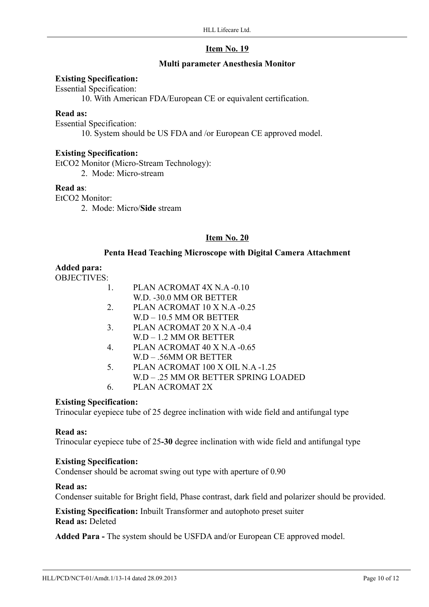### **Multi parameter Anesthesia Monitor**

#### **Existing Specification:**

Essential Specification:

10. With American FDA/European CE or equivalent certification.

### **Read as:**

Essential Specification:

10. System should be US FDA and /or European CE approved model.

#### **Existing Specification:**

EtCO2 Monitor (Micro-Stream Technology): 2. Mode: Micro-stream

#### **Read as**:

EtCO2 Monitor:

2. Mode: Micro/**Side** stream

#### **Item No. 20**

#### **Penta Head Teaching Microscope with Digital Camera Attachment**

## **Added para:**

OBJECTIVES:

- 1. PLAN ACROMAT 4X N.A -0.10
	- W.D. -30.0 MM OR BETTER
- 2. PLAN ACROMAT 10 X N.A -0.25
- W.D 10.5 MM OR BETTER
- 3. PLAN ACROMAT 20 X N.A -0.4  $WD - 1.2$  MM OR BETTER
- 4. PLAN ACROMAT 40 X N.A -0.65 W.D – .56MM OR BETTER
- 5. PLAN ACROMAT 100 X OIL N.A -1.25
- W.D .25 MM OR BETTER SPRING LOADED
- 6. PLAN ACROMAT 2X

## **Existing Specification:**

Trinocular eyepiece tube of 25 degree inclination with wide field and antifungal type

#### **Read as:**

Trinocular eyepiece tube of 25**-30** degree inclination with wide field and antifungal type

#### **Existing Specification:**

Condenser should be acromat swing out type with aperture of 0.90

## **Read as:**

Condenser suitable for Bright field, Phase contrast, dark field and polarizer should be provided.

**Existing Specification:** Inbuilt Transformer and autophoto preset suiter **Read as:** Deleted

**Added Para -** The system should be USFDA and/or European CE approved model.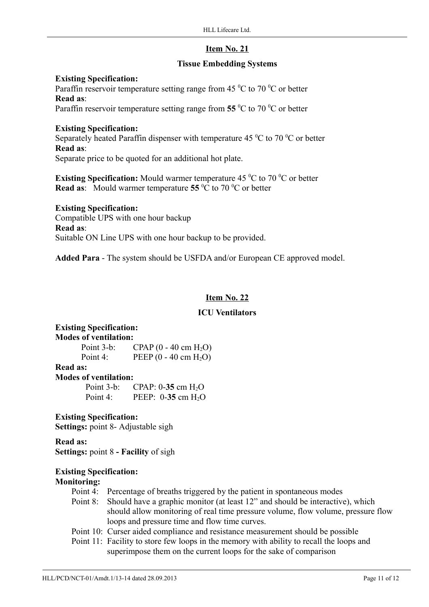## **Tissue Embedding Systems**

#### **Existing Specification:**

Paraffin reservoir temperature setting range from 45  $\mathrm{^0C}$  to 70  $\mathrm{^0C}$  or better **Read as**:

Paraffin reservoir temperature setting range from 55 <sup>o</sup>C to 70 <sup>o</sup>C or better

### **Existing Specification:**

Separately heated Paraffin dispenser with temperature 45  $\mathrm{^0C}$  to 70  $\mathrm{^0C}$  or better **Read as**:

Separate price to be quoted for an additional hot plate.

**Existing Specification:** Mould warmer temperature 45 °C to 70 °C or better **Read as:** Mould warmer temperature 55  $\mathrm{^0C}$  to 70  $\mathrm{^0C}$  or better

## **Existing Specification:**

Compatible UPS with one hour backup **Read as**: Suitable ON Line UPS with one hour backup to be provided.

**Added Para** - The system should be USFDA and/or European CE approved model.

## **Item No. 22**

## **ICU Ventilators**

#### **Existing Specification: Modes of ventilation:**

| Point $3-b$ : | $CPAP (0 - 40 cm H2O)$           |
|---------------|----------------------------------|
| Point 4:      | PEEP $(0 - 40 \text{ cm } H_2O)$ |

# **Read as:**

**Modes of ventilation: Point 3-b: CPAP: 0-35** cm H<sub>2</sub>O **Point 4:** PEEP: 0-35 cm H<sub>2</sub>O

## **Existing Specification:**

**Settings:** point 8- Adjustable sigh

**Read as: Settings:** point 8 **- Facility** of sigh

## **Existing Specification:**

## **Monitoring:**

- Point 4: Percentage of breaths triggered by the patient in spontaneous modes
- Point 8: Should have a graphic monitor (at least 12" and should be interactive), which should allow monitoring of real time pressure volume, flow volume, pressure flow loops and pressure time and flow time curves.
- Point 10: Curser aided compliance and resistance measurement should be possible
- Point 11: Facility to store few loops in the memory with ability to recall the loops and superimpose them on the current loops for the sake of comparison